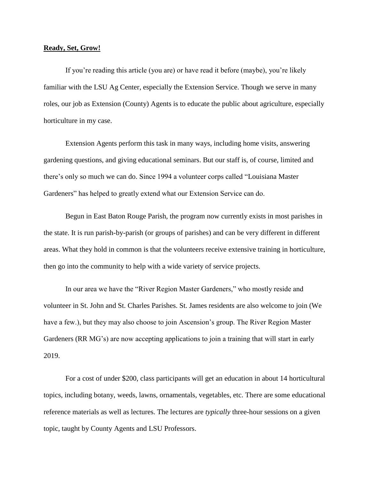## **Ready, Set, Grow!**

If you're reading this article (you are) or have read it before (maybe), you're likely familiar with the LSU Ag Center, especially the Extension Service. Though we serve in many roles, our job as Extension (County) Agents is to educate the public about agriculture, especially horticulture in my case.

Extension Agents perform this task in many ways, including home visits, answering gardening questions, and giving educational seminars. But our staff is, of course, limited and there's only so much we can do. Since 1994 a volunteer corps called "Louisiana Master Gardeners" has helped to greatly extend what our Extension Service can do.

Begun in East Baton Rouge Parish, the program now currently exists in most parishes in the state. It is run parish-by-parish (or groups of parishes) and can be very different in different areas. What they hold in common is that the volunteers receive extensive training in horticulture, then go into the community to help with a wide variety of service projects.

In our area we have the "River Region Master Gardeners," who mostly reside and volunteer in St. John and St. Charles Parishes. St. James residents are also welcome to join (We have a few.), but they may also choose to join Ascension's group. The River Region Master Gardeners (RR MG's) are now accepting applications to join a training that will start in early 2019.

For a cost of under \$200, class participants will get an education in about 14 horticultural topics, including botany, weeds, lawns, ornamentals, vegetables, etc. There are some educational reference materials as well as lectures. The lectures are *typically* three-hour sessions on a given topic, taught by County Agents and LSU Professors.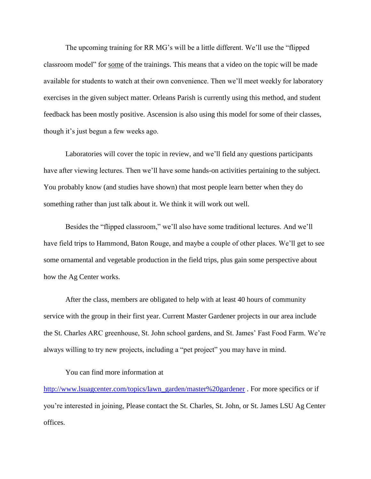The upcoming training for RR MG's will be a little different. We'll use the "flipped classroom model" for some of the trainings. This means that a video on the topic will be made available for students to watch at their own convenience. Then we'll meet weekly for laboratory exercises in the given subject matter. Orleans Parish is currently using this method, and student feedback has been mostly positive. Ascension is also using this model for some of their classes, though it's just begun a few weeks ago.

Laboratories will cover the topic in review, and we'll field any questions participants have after viewing lectures. Then we'll have some hands-on activities pertaining to the subject. You probably know (and studies have shown) that most people learn better when they do something rather than just talk about it. We think it will work out well.

Besides the "flipped classroom," we'll also have some traditional lectures. And we'll have field trips to Hammond, Baton Rouge, and maybe a couple of other places. We'll get to see some ornamental and vegetable production in the field trips, plus gain some perspective about how the Ag Center works.

After the class, members are obligated to help with at least 40 hours of community service with the group in their first year. Current Master Gardener projects in our area include the St. Charles ARC greenhouse, St. John school gardens, and St. James' Fast Food Farm. We're always willing to try new projects, including a "pet project" you may have in mind.

## You can find more information at

[http://www.lsuagcenter.com/topics/lawn\\_garden/master%20gardener](http://www.lsuagcenter.com/topics/lawn_garden/master%20gardener). For more specifics or if you're interested in joining, Please contact the St. Charles, St. John, or St. James LSU Ag Center offices.